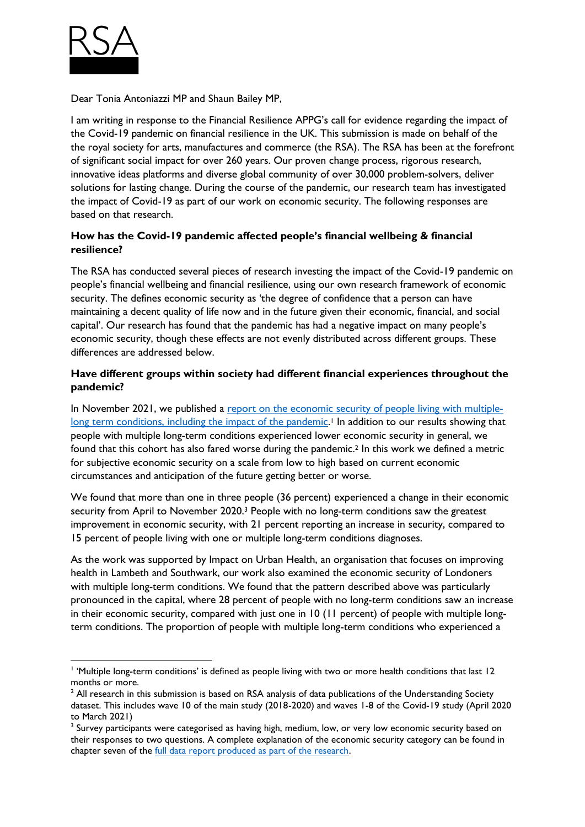

Dear Tonia Antoniazzi MP and Shaun Bailey MP,

I am writing in response to the Financial Resilience APPG's call for evidence regarding the impact of the Covid-19 pandemic on financial resilience in the UK. This submission is made on behalf of the the royal society for arts, manufactures and commerce (the RSA). The RSA has been at the forefront of significant social impact for over 260 years. Our proven change process, rigorous research, innovative ideas platforms and diverse global community of over 30,000 problem-solvers, deliver solutions for lasting change. During the course of the pandemic, our research team has investigated the impact of Covid-19 as part of our work on economic security. The following responses are based on that research.

## **How has the Covid-19 pandemic affected people's financial wellbeing & financial resilience?**

The RSA has conducted several pieces of research investing the impact of the Covid-19 pandemic on people's financial wellbeing and financial resilience, using our own research framework of economic security. The defines economic security as 'the degree of confidence that a person can have maintaining a decent quality of life now and in the future given their economic, financial, and social capital'. Our research has found that the pandemic has had a negative impact on many people's economic security, though these effects are not evenly distributed across different groups. These differences are addressed below.

## **Have different groups within society had different financial experiences throughout the pandemic?**

In November 2021, we published a [report on the economic security of people living with multiple](https://www.thersa.org/reports/economic-security-and-long-term-conditions)[long term conditions, including the impact of the pandemic.](https://www.thersa.org/reports/economic-security-and-long-term-conditions)<sup>1</sup> In addition to our results showing that people with multiple long-term conditions experienced lower economic security in general, we found that this cohort has also fared worse during the pandemic.<sup>2</sup> In this work we defined a metric for subjective economic security on a scale from low to high based on current economic circumstances and anticipation of the future getting better or worse.

We found that more than one in three people (36 percent) experienced a change in their economic security from April to November 2020.<sup>3</sup> People with no long-term conditions saw the greatest improvement in economic security, with 21 percent reporting an increase in security, compared to 15 percent of people living with one or multiple long-term conditions diagnoses.

As the work was supported by Impact on Urban Health, an organisation that focuses on improving health in Lambeth and Southwark, our work also examined the economic security of Londoners with multiple long-term conditions. We found that the pattern described above was particularly pronounced in the capital, where 28 percent of people with no long-term conditions saw an increase in their economic security, compared with just one in 10 (11 percent) of people with multiple longterm conditions. The proportion of people with multiple long-term conditions who experienced a

<sup>1</sup> 'Multiple long-term conditions' is defined as people living with two or more health conditions that last 12 months or more.

<sup>&</sup>lt;sup>2</sup> All research in this submission is based on RSA analysis of data publications of the Understanding Society dataset. This includes wave 10 of the main study (2018-2020) and waves 1-8 of the Covid-19 study (April 2020 to March 2021)

 $3$  Survey participants were categorised as having high, medium, low, or very low economic security based on their responses to two questions. A complete explanation of the economic security category can be found in chapter seven of the [full data report produced as part of the research.](https://www.thersa.org/globalassets/pdfs/reports/supporting-documents/iouh-data-dive-final.pdf)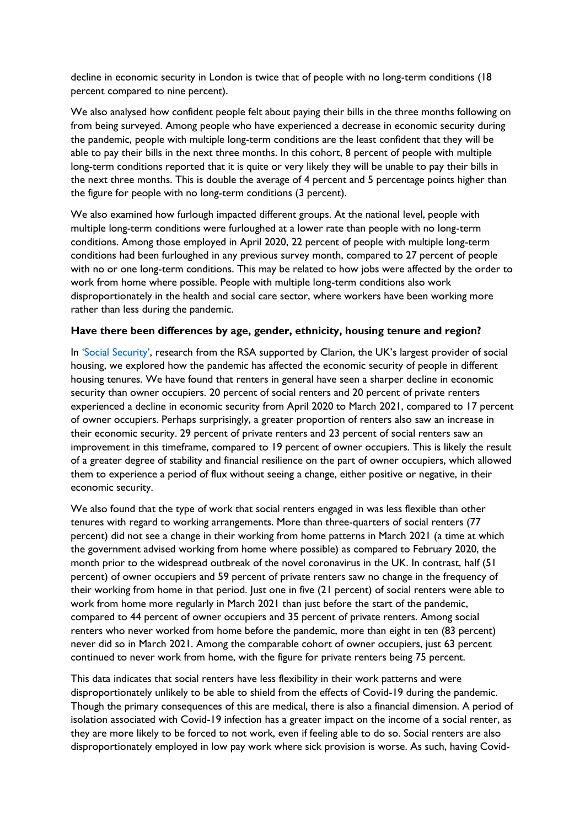decline in economic security in London is twice that of people with no long-term conditions (18 percent compared to nine percent).

We also analysed how confident people felt about paying their bills in the three months following on from being surveyed. Among people who have experienced a decrease in economic security during the pandemic, people with multiple long-term conditions are the least confident that they will be able to pay their bills in the next three months. In this cohort, 8 percent of people with multiple long-term conditions reported that it is quite or very likely they will be unable to pay their bills in the next three months. This is double the average of 4 percent and 5 percentage points higher than the figure for people with no long-term conditions (3 percent).

We also examined how furlough impacted different groups. At the national level, people with multiple long-term conditions were furloughed at a lower rate than people with no long-term conditions. Among those employed in April 2020, 22 percent of people with multiple long-term conditions had been furloughed in any previous survey month, compared to 27 percent of people with no or one long-term conditions. This may be related to how jobs were affected by the order to work from home where possible. People with multiple long-term conditions also work disproportionately in the health and social care sector, where workers have been working more rather than less during the pandemic.

## **Have there been differences by age, gender, ethnicity, housing tenure and region?**

In ['Social Security'](https://www.thersa.org/reports/social-security), research from the RSA supported by Clarion, the UK's largest provider of social housing, we explored how the pandemic has affected the economic security of people in different housing tenures. We have found that renters in general have seen a sharper decline in economic security than owner occupiers. 20 percent of social renters and 20 percent of private renters experienced a decline in economic security from April 2020 to March 2021, compared to 17 percent of owner occupiers. Perhaps surprisingly, a greater proportion of renters also saw an increase in their economic security. 29 percent of private renters and 23 percent of social renters saw an improvement in this timeframe, compared to 19 percent of owner occupiers. This is likely the result of a greater degree of stability and financial resilience on the part of owner occupiers, which allowed them to experience a period of flux without seeing a change, either positive or negative, in their economic security.

We also found that the type of work that social renters engaged in was less flexible than other tenures with regard to working arrangements. More than three-quarters of social renters (77 percent) did not see a change in their working from home patterns in March 2021 (a time at which the government advised working from home where possible) as compared to February 2020, the month prior to the widespread outbreak of the novel coronavirus in the UK. In contrast, half (51 percent) of owner occupiers and 59 percent of private renters saw no change in the frequency of their working from home in that period. Just one in five (21 percent) of social renters were able to work from home more regularly in March 2021 than just before the start of the pandemic, compared to 44 percent of owner occupiers and 35 percent of private renters. Among social renters who never worked from home before the pandemic, more than eight in ten (83 percent) never did so in March 2021. Among the comparable cohort of owner occupiers, just 63 percent continued to never work from home, with the figure for private renters being 75 percent.

This data indicates that social renters have less flexibility in their work patterns and were disproportionately unlikely to be able to shield from the effects of Covid-19 during the pandemic. Though the primary consequences of this are medical, there is also a financial dimension. A period of isolation associated with Covid-19 infection has a greater impact on the income of a social renter, as they are more likely to be forced to not work, even if feeling able to do so. Social renters are also disproportionately employed in low pay work where sick provision is worse. As such, having Covid-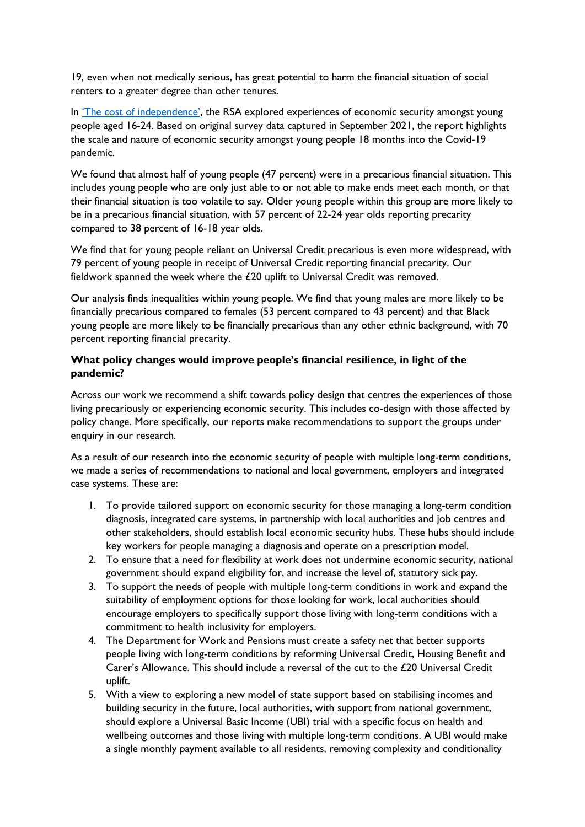19, even when not medically serious, has great potential to harm the financial situation of social renters to a greater degree than other tenures.

In 'The cost of [independence'](https://www.thersa.org/globalassets/_foundation/new-site-blocks-and-images/reports/2022/01/cost_of_independence.pdf), the RSA explored experiences of economic security amongst young people aged 16-24. Based on original survey data captured in September 2021, the report highlights the scale and nature of economic security amongst young people 18 months into the Covid-19 pandemic.

We found that almost half of young people (47 percent) were in a precarious financial situation. This includes young people who are only just able to or not able to make ends meet each month, or that their financial situation is too volatile to say. Older young people within this group are more likely to be in a precarious financial situation, with 57 percent of 22-24 year olds reporting precarity compared to 38 percent of 16-18 year olds.

We find that for young people reliant on Universal Credit precarious is even more widespread, with 79 percent of young people in receipt of Universal Credit reporting financial precarity. Our fieldwork spanned the week where the £20 uplift to Universal Credit was removed.

Our analysis finds inequalities within young people. We find that young males are more likely to be financially precarious compared to females (53 percent compared to 43 percent) and that Black young people are more likely to be financially precarious than any other ethnic background, with 70 percent reporting financial precarity.

## **What policy changes would improve people's financial resilience, in light of the pandemic?**

Across our work we recommend a shift towards policy design that centres the experiences of those living precariously or experiencing economic security. This includes co-design with those affected by policy change. More specifically, our reports make recommendations to support the groups under enquiry in our research.

As a result of our research into the economic security of people with multiple long-term conditions, we made a series of recommendations to national and local government, employers and integrated case systems. These are:

- 1. To provide tailored support on economic security for those managing a long-term condition diagnosis, integrated care systems, in partnership with local authorities and job centres and other stakeholders, should establish local economic security hubs. These hubs should include key workers for people managing a diagnosis and operate on a prescription model.
- 2. To ensure that a need for flexibility at work does not undermine economic security, national government should expand eligibility for, and increase the level of, statutory sick pay.
- 3. To support the needs of people with multiple long-term conditions in work and expand the suitability of employment options for those looking for work, local authorities should encourage employers to specifically support those living with long-term conditions with a commitment to health inclusivity for employers.
- 4. The Department for Work and Pensions must create a safety net that better supports people living with long-term conditions by reforming Universal Credit, Housing Benefit and Carer's Allowance. This should include a reversal of the cut to the £20 Universal Credit uplift.
- 5. With a view to exploring a new model of state support based on stabilising incomes and building security in the future, local authorities, with support from national government, should explore a Universal Basic Income (UBI) trial with a specific focus on health and wellbeing outcomes and those living with multiple long-term conditions. A UBI would make a single monthly payment available to all residents, removing complexity and conditionality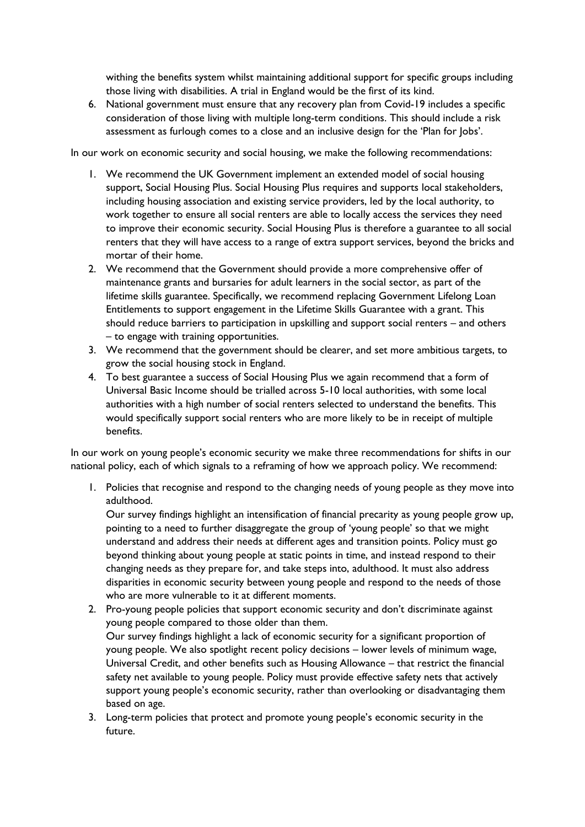withing the benefits system whilst maintaining additional support for specific groups including those living with disabilities. A trial in England would be the first of its kind.

6. National government must ensure that any recovery plan from Covid-19 includes a specific consideration of those living with multiple long-term conditions. This should include a risk assessment as furlough comes to a close and an inclusive design for the 'Plan for Jobs'.

In our work on economic security and social housing, we make the following recommendations:

- 1. We recommend the UK Government implement an extended model of social housing support, Social Housing Plus. Social Housing Plus requires and supports local stakeholders, including housing association and existing service providers, led by the local authority, to work together to ensure all social renters are able to locally access the services they need to improve their economic security. Social Housing Plus is therefore a guarantee to all social renters that they will have access to a range of extra support services, beyond the bricks and mortar of their home.
- 2. We recommend that the Government should provide a more comprehensive offer of maintenance grants and bursaries for adult learners in the social sector, as part of the lifetime skills guarantee. Specifically, we recommend replacing Government Lifelong Loan Entitlements to support engagement in the Lifetime Skills Guarantee with a grant. This should reduce barriers to participation in upskilling and support social renters – and others – to engage with training opportunities.
- 3. We recommend that the government should be clearer, and set more ambitious targets, to grow the social housing stock in England.
- 4. To best guarantee a success of Social Housing Plus we again recommend that a form of Universal Basic Income should be trialled across 5-10 local authorities, with some local authorities with a high number of social renters selected to understand the benefits. This would specifically support social renters who are more likely to be in receipt of multiple benefits.

In our work on young people's economic security we make three recommendations for shifts in our national policy, each of which signals to a reframing of how we approach policy. We recommend:

1. Policies that recognise and respond to the changing needs of young people as they move into adulthood.

Our survey findings highlight an intensification of financial precarity as young people grow up, pointing to a need to further disaggregate the group of 'young people' so that we might understand and address their needs at different ages and transition points. Policy must go beyond thinking about young people at static points in time, and instead respond to their changing needs as they prepare for, and take steps into, adulthood. It must also address disparities in economic security between young people and respond to the needs of those who are more vulnerable to it at different moments.

- 2. Pro-young people policies that support economic security and don't discriminate against young people compared to those older than them. Our survey findings highlight a lack of economic security for a significant proportion of young people. We also spotlight recent policy decisions – lower levels of minimum wage, Universal Credit, and other benefits such as Housing Allowance – that restrict the financial safety net available to young people. Policy must provide effective safety nets that actively support young people's economic security, rather than overlooking or disadvantaging them based on age.
- 3. Long-term policies that protect and promote young people's economic security in the future.